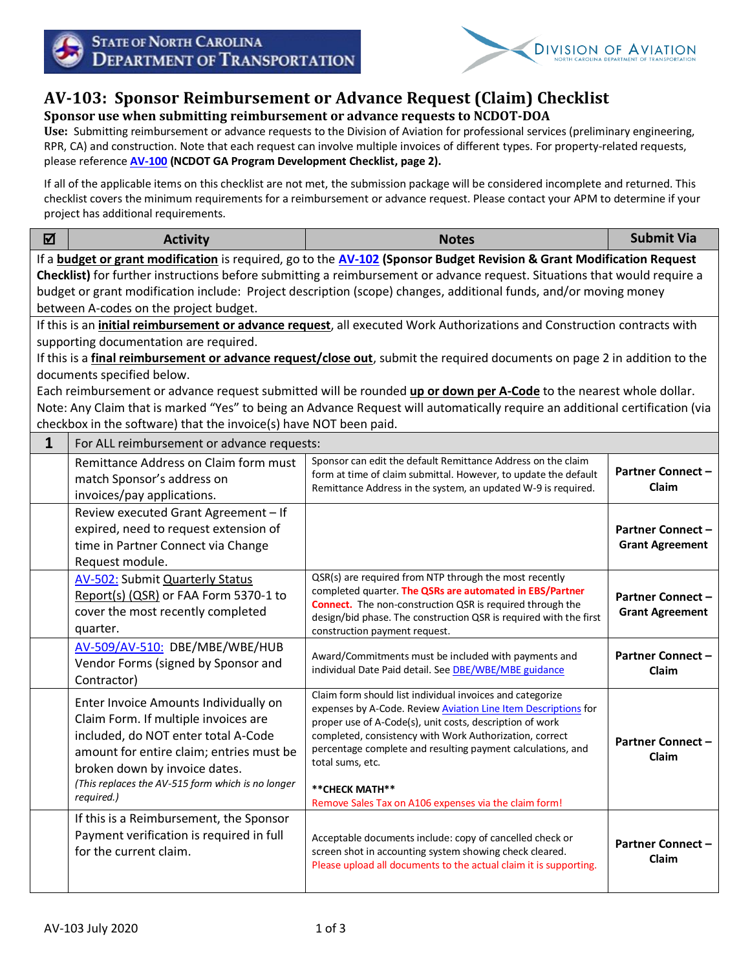



## **AV-103: Sponsor Reimbursement or Advance Request (Claim) Checklist**

**Sponsor use when submitting reimbursement or advance requests to NCDOT-DOA**

**Use:** Submitting reimbursement or advance requests to the Division of Aviation for professional services (preliminary engineering, RPR, CA) and construction. Note that each request can involve multiple invoices of different types. For property-related requests, please reference **[AV-100](https://connect.ncdot.gov/municipalities/State-Airport-Aid/State%20Airport%20Aid%20Documents/NCDOA_GADevChecklist.pdf) (NCDOT GA Program Development Checklist, page 2).**

If all of the applicable items on this checklist are not met, the submission package will be considered incomplete and returned. This checklist covers the minimum requirements for a reimbursement or advance request. Please contact your APM to determine if your project has additional requirements.

| ☑                                                                                                                                                                                                                                                                                                                                                                                                                                                                                                                                                                                           | <b>Activity</b>                                                                                                                                                                                                                                                      | <b>Notes</b>                                                                                                                                                                                                                                                                                                                                                                                                             | <b>Submit Via</b>                                  |  |  |
|---------------------------------------------------------------------------------------------------------------------------------------------------------------------------------------------------------------------------------------------------------------------------------------------------------------------------------------------------------------------------------------------------------------------------------------------------------------------------------------------------------------------------------------------------------------------------------------------|----------------------------------------------------------------------------------------------------------------------------------------------------------------------------------------------------------------------------------------------------------------------|--------------------------------------------------------------------------------------------------------------------------------------------------------------------------------------------------------------------------------------------------------------------------------------------------------------------------------------------------------------------------------------------------------------------------|----------------------------------------------------|--|--|
| If a <b>budget or grant modification</b> is required, go to the <b>AV-102 (Sponsor Budget Revision &amp; Grant Modification Request</b><br>Checklist) for further instructions before submitting a reimbursement or advance request. Situations that would require a<br>budget or grant modification include: Project description (scope) changes, additional funds, and/or moving money<br>between A-codes on the project budget.                                                                                                                                                          |                                                                                                                                                                                                                                                                      |                                                                                                                                                                                                                                                                                                                                                                                                                          |                                                    |  |  |
| If this is an <i>initial reimbursement or advance request</i> , all executed Work Authorizations and Construction contracts with<br>supporting documentation are required.<br>If this is a final reimbursement or advance request/close out, submit the required documents on page 2 in addition to the<br>documents specified below.<br>Each reimbursement or advance request submitted will be rounded up or down per A-Code to the nearest whole dollar.<br>Note: Any Claim that is marked "Yes" to being an Advance Request will automatically require an additional certification (via |                                                                                                                                                                                                                                                                      |                                                                                                                                                                                                                                                                                                                                                                                                                          |                                                    |  |  |
|                                                                                                                                                                                                                                                                                                                                                                                                                                                                                                                                                                                             | checkbox in the software) that the invoice(s) have NOT been paid.                                                                                                                                                                                                    |                                                                                                                                                                                                                                                                                                                                                                                                                          |                                                    |  |  |
| $\mathbf{1}$                                                                                                                                                                                                                                                                                                                                                                                                                                                                                                                                                                                | For ALL reimbursement or advance requests:<br>Remittance Address on Claim form must<br>match Sponsor's address on<br>invoices/pay applications.                                                                                                                      | Sponsor can edit the default Remittance Address on the claim<br>form at time of claim submittal. However, to update the default<br>Remittance Address in the system, an updated W-9 is required.                                                                                                                                                                                                                         | <b>Partner Connect -</b><br>Claim                  |  |  |
|                                                                                                                                                                                                                                                                                                                                                                                                                                                                                                                                                                                             | Review executed Grant Agreement - If<br>expired, need to request extension of<br>time in Partner Connect via Change<br>Request module.                                                                                                                               |                                                                                                                                                                                                                                                                                                                                                                                                                          | <b>Partner Connect -</b><br><b>Grant Agreement</b> |  |  |
|                                                                                                                                                                                                                                                                                                                                                                                                                                                                                                                                                                                             | <b>AV-502: Submit Quarterly Status</b><br>Report(s) (QSR) or FAA Form 5370-1 to<br>cover the most recently completed<br>quarter.                                                                                                                                     | QSR(s) are required from NTP through the most recently<br>completed quarter. The QSRs are automated in EBS/Partner<br><b>Connect.</b> The non-construction QSR is required through the<br>design/bid phase. The construction QSR is required with the first<br>construction payment request.                                                                                                                             | <b>Partner Connect -</b><br><b>Grant Agreement</b> |  |  |
|                                                                                                                                                                                                                                                                                                                                                                                                                                                                                                                                                                                             | AV-509/AV-510: DBE/MBE/WBE/HUB<br>Vendor Forms (signed by Sponsor and<br>Contractor)                                                                                                                                                                                 | Award/Commitments must be included with payments and<br>individual Date Paid detail. See DBE/WBE/MBE guidance                                                                                                                                                                                                                                                                                                            | <b>Partner Connect -</b><br>Claim                  |  |  |
|                                                                                                                                                                                                                                                                                                                                                                                                                                                                                                                                                                                             | Enter Invoice Amounts Individually on<br>Claim Form. If multiple invoices are<br>included, do NOT enter total A-Code<br>amount for entire claim; entries must be<br>broken down by invoice dates.<br>(This replaces the AV-515 form which is no longer<br>required.) | Claim form should list individual invoices and categorize<br>expenses by A-Code. Review <b>Aviation Line Item Descriptions</b> for<br>proper use of A-Code(s), unit costs, description of work<br>completed, consistency with Work Authorization, correct<br>percentage complete and resulting payment calculations, and<br>total sums, etc.<br>** CHECK MATH**<br>Remove Sales Tax on A106 expenses via the claim form! | <b>Partner Connect -</b><br>Claim                  |  |  |
|                                                                                                                                                                                                                                                                                                                                                                                                                                                                                                                                                                                             | If this is a Reimbursement, the Sponsor<br>Payment verification is required in full<br>for the current claim.                                                                                                                                                        | Acceptable documents include: copy of cancelled check or<br>screen shot in accounting system showing check cleared.<br>Please upload all documents to the actual claim it is supporting.                                                                                                                                                                                                                                 | <b>Partner Connect -</b><br><b>Claim</b>           |  |  |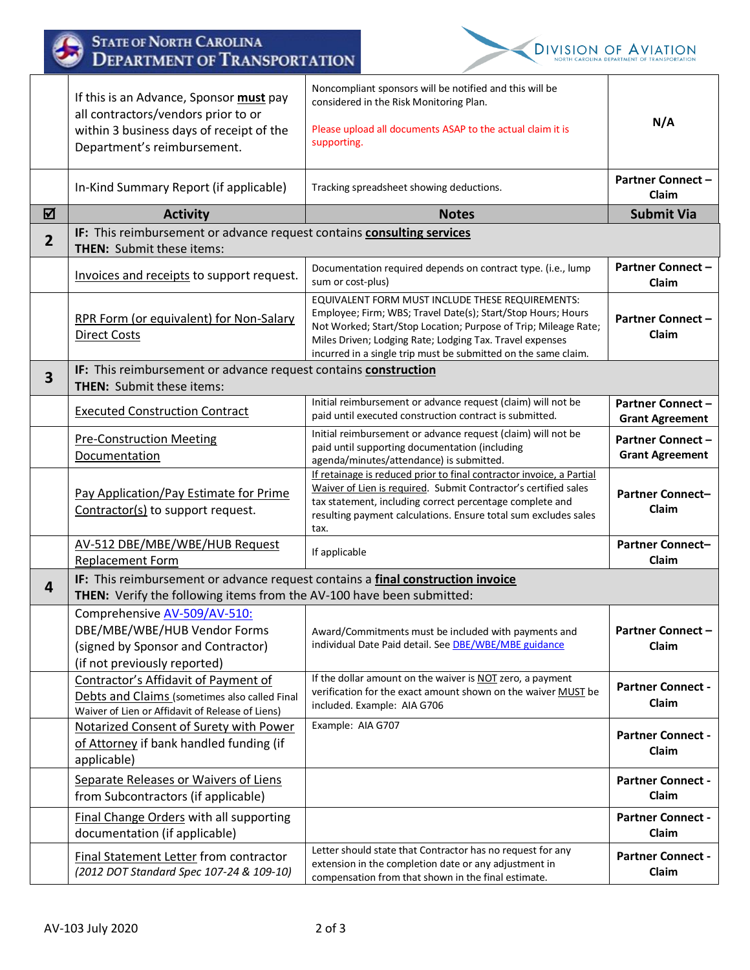|                         | <b>STATE OF NORTH CAROLINA</b><br><b>DEPARTMENT OF TRANSPORTATION</b>                                                                                     |                                                                                                                                                                                                                                                                                                                   | <b>DIVISION OF AVIATION</b><br>ORTH CAROLINA DEPARTMENT OF TRANSPORTATION |
|-------------------------|-----------------------------------------------------------------------------------------------------------------------------------------------------------|-------------------------------------------------------------------------------------------------------------------------------------------------------------------------------------------------------------------------------------------------------------------------------------------------------------------|---------------------------------------------------------------------------|
|                         | If this is an Advance, Sponsor must pay<br>all contractors/vendors prior to or<br>within 3 business days of receipt of the<br>Department's reimbursement. | Noncompliant sponsors will be notified and this will be<br>considered in the Risk Monitoring Plan.<br>Please upload all documents ASAP to the actual claim it is<br>supporting.                                                                                                                                   | N/A                                                                       |
|                         | In-Kind Summary Report (if applicable)                                                                                                                    | Tracking spreadsheet showing deductions.                                                                                                                                                                                                                                                                          | <b>Partner Connect -</b><br>Claim                                         |
| 冈                       | <b>Activity</b>                                                                                                                                           | <b>Notes</b>                                                                                                                                                                                                                                                                                                      | <b>Submit Via</b>                                                         |
| $\overline{2}$          | IF: This reimbursement or advance request contains consulting services<br><b>THEN:</b> Submit these items:                                                |                                                                                                                                                                                                                                                                                                                   |                                                                           |
|                         | Invoices and receipts to support request.                                                                                                                 | Documentation required depends on contract type. (i.e., lump<br>sum or cost-plus)                                                                                                                                                                                                                                 | <b>Partner Connect -</b><br>Claim                                         |
|                         | RPR Form (or equivalent) for Non-Salary<br><b>Direct Costs</b>                                                                                            | EQUIVALENT FORM MUST INCLUDE THESE REQUIREMENTS:<br>Employee; Firm; WBS; Travel Date(s); Start/Stop Hours; Hours<br>Not Worked; Start/Stop Location; Purpose of Trip; Mileage Rate;<br>Miles Driven; Lodging Rate; Lodging Tax. Travel expenses<br>incurred in a single trip must be submitted on the same claim. | <b>Partner Connect -</b><br>Claim                                         |
| $\overline{\mathbf{3}}$ | IF: This reimbursement or advance request contains construction<br><b>THEN:</b> Submit these items:                                                       |                                                                                                                                                                                                                                                                                                                   |                                                                           |
|                         | <b>Executed Construction Contract</b>                                                                                                                     | Initial reimbursement or advance request (claim) will not be<br>paid until executed construction contract is submitted.                                                                                                                                                                                           | <b>Partner Connect -</b><br><b>Grant Agreement</b>                        |
|                         | <b>Pre-Construction Meeting</b><br>Documentation                                                                                                          | Initial reimbursement or advance request (claim) will not be<br>paid until supporting documentation (including<br>agenda/minutes/attendance) is submitted.                                                                                                                                                        | <b>Partner Connect -</b><br><b>Grant Agreement</b>                        |
|                         | Pay Application/Pay Estimate for Prime<br>Contractor(s) to support request.                                                                               | If retainage is reduced prior to final contractor invoice, a Partial<br>Waiver of Lien is required. Submit Contractor's certified sales<br>tax statement, including correct percentage complete and<br>resulting payment calculations. Ensure total sum excludes sales<br>tax.                                    | <b>Partner Connect-</b><br>Claim                                          |
|                         | AV-512 DBE/MBE/WBE/HUB Request<br><b>Replacement Form</b>                                                                                                 | If applicable                                                                                                                                                                                                                                                                                                     | <b>Partner Connect-</b><br>Claim                                          |
| 4                       | IF: This reimbursement or advance request contains a final construction invoice                                                                           |                                                                                                                                                                                                                                                                                                                   |                                                                           |
|                         | THEN: Verify the following items from the AV-100 have been submitted:                                                                                     |                                                                                                                                                                                                                                                                                                                   |                                                                           |
|                         | Comprehensive AV-509/AV-510:<br>DBE/MBE/WBE/HUB Vendor Forms<br>(signed by Sponsor and Contractor)<br>(if not previously reported)                        | Award/Commitments must be included with payments and<br>individual Date Paid detail. See DBE/WBE/MBE guidance                                                                                                                                                                                                     | <b>Partner Connect -</b><br>Claim                                         |
|                         | Contractor's Affidavit of Payment of<br>Debts and Claims (sometimes also called Final<br>Waiver of Lien or Affidavit of Release of Liens)                 | If the dollar amount on the waiver is NOT zero, a payment<br>verification for the exact amount shown on the waiver MUST be<br>included. Example: AIA G706                                                                                                                                                         | <b>Partner Connect -</b><br>Claim                                         |
|                         | Notarized Consent of Surety with Power<br>of Attorney if bank handled funding (if<br>applicable)                                                          | Example: AIA G707                                                                                                                                                                                                                                                                                                 | <b>Partner Connect -</b><br>Claim                                         |
|                         | Separate Releases or Waivers of Liens<br>from Subcontractors (if applicable)                                                                              |                                                                                                                                                                                                                                                                                                                   | <b>Partner Connect -</b><br>Claim                                         |
|                         | Final Change Orders with all supporting<br>documentation (if applicable)                                                                                  |                                                                                                                                                                                                                                                                                                                   | <b>Partner Connect -</b><br>Claim                                         |
|                         | Final Statement Letter from contractor<br>(2012 DOT Standard Spec 107-24 & 109-10)                                                                        | Letter should state that Contractor has no request for any<br>extension in the completion date or any adjustment in<br>compensation from that shown in the final estimate.                                                                                                                                        | <b>Partner Connect -</b><br>Claim                                         |